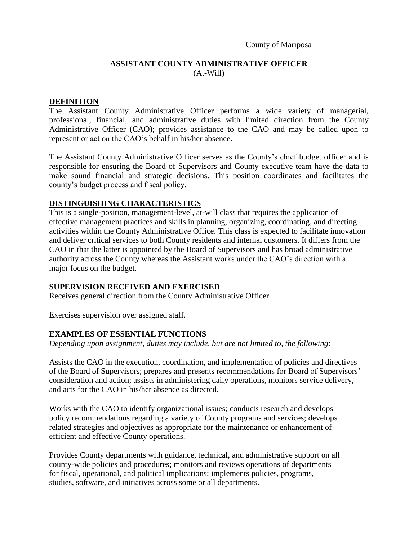County of Mariposa

# **ASSISTANT COUNTY ADMINISTRATIVE OFFICER** (At-Will)

### **DEFINITION**

The Assistant County Administrative Officer performs a wide variety of managerial, professional, financial, and administrative duties with limited direction from the County Administrative Officer (CAO); provides assistance to the CAO and may be called upon to represent or act on the CAO's behalf in his/her absence.

The Assistant County Administrative Officer serves as the County's chief budget officer and is responsible for ensuring the Board of Supervisors and County executive team have the data to make sound financial and strategic decisions. This position coordinates and facilitates the county's budget process and fiscal policy.

## **DISTINGUISHING CHARACTERISTICS**

This is a single-position, management-level, at-will class that requires the application of effective management practices and skills in planning, organizing, coordinating, and directing activities within the County Administrative Office. This class is expected to facilitate innovation and deliver critical services to both County residents and internal customers. It differs from the CAO in that the latter is appointed by the Board of Supervisors and has broad administrative authority across the County whereas the Assistant works under the CAO's direction with a major focus on the budget.

## **SUPERVISION RECEIVED AND EXERCISED**

Receives general direction from the County Administrative Officer.

Exercises supervision over assigned staff.

## **EXAMPLES OF ESSENTIAL FUNCTIONS**

*Depending upon assignment, duties may include, but are not limited to, the following:*

Assists the CAO in the execution, coordination, and implementation of policies and directives of the Board of Supervisors; prepares and presents recommendations for Board of Supervisors' consideration and action; assists in administering daily operations, monitors service delivery, and acts for the CAO in his/her absence as directed.

Works with the CAO to identify organizational issues; conducts research and develops policy recommendations regarding a variety of County programs and services; develops related strategies and objectives as appropriate for the maintenance or enhancement of efficient and effective County operations.

Provides County departments with guidance, technical, and administrative support on all county-wide policies and procedures; monitors and reviews operations of departments for fiscal, operational, and political implications; implements policies, programs, studies, software, and initiatives across some or all departments.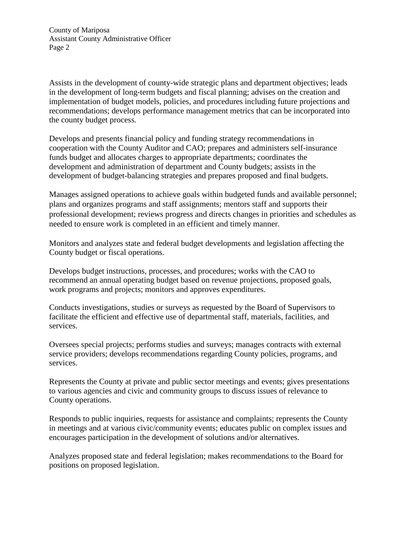County of Mariposa Assistant County Administrative Officer Page 2

Assists in the development of county-wide strategic plans and department objectives; leads in the development of long-term budgets and fiscal planning; advises on the creation and implementation of budget models, policies, and procedures including future projections and recommendations; develops performance management metrics that can be incorporated into the county budget process.

Develops and presents financial policy and funding strategy recommendations in cooperation with the County Auditor and CAO; prepares and administers self-insurance funds budget and allocates charges to appropriate departments; coordinates the development and administration of department and County budgets; assists in the development of budget-balancing strategies and prepares proposed and final budgets.

Manages assigned operations to achieve goals within budgeted funds and available personnel; plans and organizes programs and staff assignments; mentors staff and supports their professional development; reviews progress and directs changes in priorities and schedules as needed to ensure work is completed in an efficient and timely manner.

Monitors and analyzes state and federal budget developments and legislation affecting the County budget or fiscal operations.

Develops budget instructions, processes, and procedures; works with the CAO to recommend an annual operating budget based on revenue projections, proposed goals, work programs and projects; monitors and approves expenditures.

Conducts investigations, studies or surveys as requested by the Board of Supervisors to facilitate the efficient and effective use of departmental staff, materials, facilities, and services.

Oversees special projects; performs studies and surveys; manages contracts with external service providers; develops recommendations regarding County policies, programs, and services.

Represents the County at private and public sector meetings and events; gives presentations to various agencies and civic and community groups to discuss issues of relevance to County operations.

Responds to public inquiries, requests for assistance and complaints; represents the County in meetings and at various civic/community events; educates public on complex issues and encourages participation in the development of solutions and/or alternatives.

Analyzes proposed state and federal legislation; makes recommendations to the Board for positions on proposed legislation.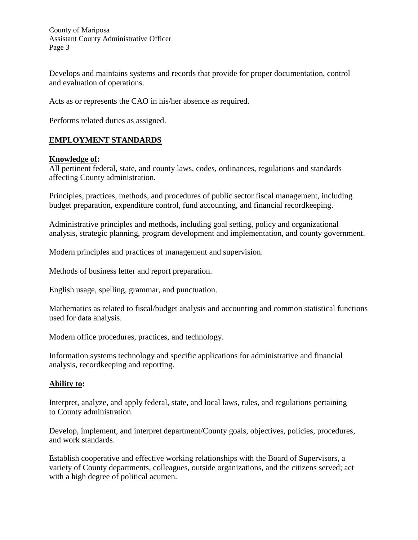County of Mariposa Assistant County Administrative Officer Page 3

Develops and maintains systems and records that provide for proper documentation, control and evaluation of operations.

Acts as or represents the CAO in his/her absence as required.

Performs related duties as assigned.

## **EMPLOYMENT STANDARDS**

### **Knowledge of:**

All pertinent federal, state, and county laws, codes, ordinances, regulations and standards affecting County administration.

Principles, practices, methods, and procedures of public sector fiscal management, including budget preparation, expenditure control, fund accounting, and financial recordkeeping.

Administrative principles and methods, including goal setting, policy and organizational analysis, strategic planning, program development and implementation, and county government.

Modern principles and practices of management and supervision.

Methods of business letter and report preparation.

English usage, spelling, grammar, and punctuation.

Mathematics as related to fiscal/budget analysis and accounting and common statistical functions used for data analysis.

Modern office procedures, practices, and technology.

Information systems technology and specific applications for administrative and financial analysis, recordkeeping and reporting.

#### **Ability to:**

Interpret, analyze, and apply federal, state, and local laws, rules, and regulations pertaining to County administration.

Develop, implement, and interpret department/County goals, objectives, policies, procedures, and work standards.

Establish cooperative and effective working relationships with the Board of Supervisors, a variety of County departments, colleagues, outside organizations, and the citizens served; act with a high degree of political acumen.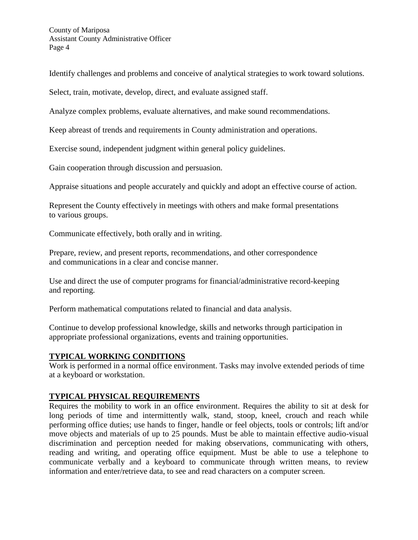Identify challenges and problems and conceive of analytical strategies to work toward solutions.

Select, train, motivate, develop, direct, and evaluate assigned staff.

Analyze complex problems, evaluate alternatives, and make sound recommendations.

Keep abreast of trends and requirements in County administration and operations.

Exercise sound, independent judgment within general policy guidelines.

Gain cooperation through discussion and persuasion.

Appraise situations and people accurately and quickly and adopt an effective course of action.

Represent the County effectively in meetings with others and make formal presentations to various groups.

Communicate effectively, both orally and in writing.

Prepare, review, and present reports, recommendations, and other correspondence and communications in a clear and concise manner.

Use and direct the use of computer programs for financial/administrative record-keeping and reporting.

Perform mathematical computations related to financial and data analysis.

Continue to develop professional knowledge, skills and networks through participation in appropriate professional organizations, events and training opportunities.

# **TYPICAL WORKING CONDITIONS**

Work is performed in a normal office environment. Tasks may involve extended periods of time at a keyboard or workstation.

# **TYPICAL PHYSICAL REQUIREMENTS**

Requires the mobility to work in an office environment. Requires the ability to sit at desk for long periods of time and intermittently walk, stand, stoop, kneel, crouch and reach while performing office duties; use hands to finger, handle or feel objects, tools or controls; lift and/or move objects and materials of up to 25 pounds. Must be able to maintain effective audio-visual discrimination and perception needed for making observations, communicating with others, reading and writing, and operating office equipment. Must be able to use a telephone to communicate verbally and a keyboard to communicate through written means, to review information and enter/retrieve data, to see and read characters on a computer screen.